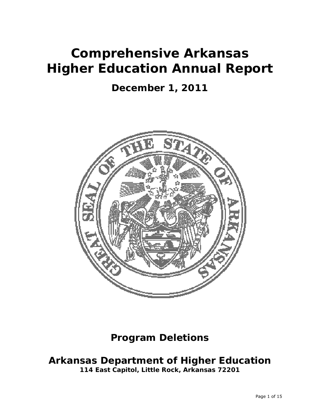# **Comprehensive Arkansas Higher Education Annual Report**

## **December 1, 2011**



## **Program Deletions**

## **Arkansas Department of Higher Education**

**114 East Capitol, Little Rock, Arkansas 72201**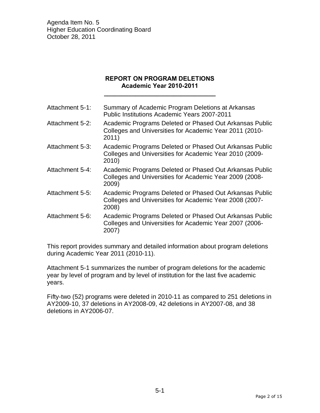### **REPORT ON PROGRAM DELETIONS Academic Year 2010-2011**

**\_\_\_\_\_\_\_\_\_\_\_\_\_\_\_\_\_\_\_\_\_\_\_\_\_\_\_\_\_\_\_\_** 

| Attachment 5-1: | Summary of Academic Program Deletions at Arkansas<br><b>Public Institutions Academic Years 2007-2011</b>                    |
|-----------------|-----------------------------------------------------------------------------------------------------------------------------|
| Attachment 5-2: | Academic Programs Deleted or Phased Out Arkansas Public<br>Colleges and Universities for Academic Year 2011 (2010-<br>2011) |
| Attachment 5-3: | Academic Programs Deleted or Phased Out Arkansas Public<br>Colleges and Universities for Academic Year 2010 (2009-<br>2010) |
| Attachment 5-4: | Academic Programs Deleted or Phased Out Arkansas Public<br>Colleges and Universities for Academic Year 2009 (2008-<br>2009) |
| Attachment 5-5: | Academic Programs Deleted or Phased Out Arkansas Public<br>Colleges and Universities for Academic Year 2008 (2007-<br>2008) |
| Attachment 5-6: | Academic Programs Deleted or Phased Out Arkansas Public<br>Colleges and Universities for Academic Year 2007 (2006-<br>2007) |
|                 |                                                                                                                             |

This report provides summary and detailed information about program deletions during Academic Year 2011 (2010-11).

Attachment 5-1 summarizes the number of program deletions for the academic year by level of program and by level of institution for the last five academic years.

Fifty-two (52) programs were deleted in 2010-11 as compared to 251 deletions in AY2009-10, 37 deletions in AY2008-09, 42 deletions in AY2007-08, and 38 deletions in AY2006-07.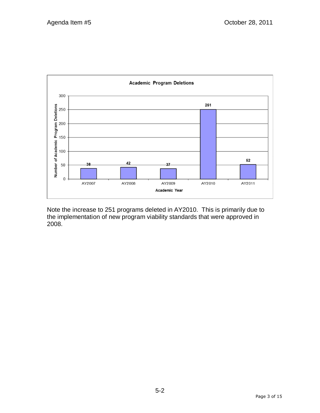| Е              |             |              |               |               |                |         |        |                     |
|----------------|-------------|--------------|---------------|---------------|----------------|---------|--------|---------------------|
| $\Gamma = 1$ . |             | $\mathbf{I}$ |               |               |                | $- - -$ |        | $\vert \cdot \vert$ |
|                | ၊ တ         | Ι.           |               |               |                |         |        | $\vert \cdot \vert$ |
|                | $1 - 2 = 1$ |              |               |               |                | п       |        | $\vert \cdot \vert$ |
| $\mathbf{I}$   |             |              | <b>ATZUUI</b> | <b>ATZUUO</b> | <b>WI TONA</b> | AIZUIU  | MIZUII |                     |

Note the increase to 251 programs deleted in AY2010. This is primarily due to the implementation of new program viability standards that were approved in 2008.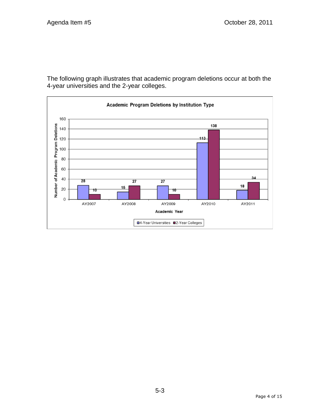The following graph illustrates that academic program deletions occur at both the 4-year universities and the 2-year colleges.

| $\mathbf{L}$<br>m<br>п.                 |      |                                       | $\overline{a}$ | $\mathbb{R}^n \times \mathbb{R}^n$ |
|-----------------------------------------|------|---------------------------------------|----------------|------------------------------------|
| $\mathbf{L}$<br>л.                      |      |                                       | ____           | $\mathbb{R}^n \times \mathbb{R}^n$ |
| $\mathbf{I}$<br>$AD = 1$<br><b>BALL</b> |      |                                       |                | -344<br><b>British</b>             |
|                                         | <br> | <br>Academic Year                     | $  -$          | .                                  |
|                                         |      | □4-Year Universities ■2-Year Colleges |                |                                    |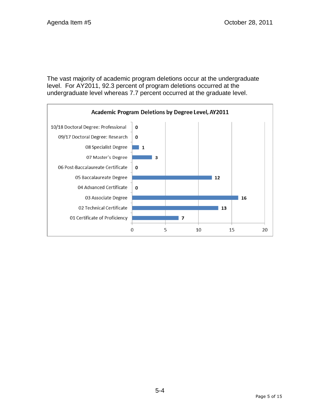The vast majority of academic program deletions occur at the undergraduate level. For AY2011, 92.3 percent of program deletions occurred at the undergraduate level whereas 7.7 percent occurred at the graduate level.

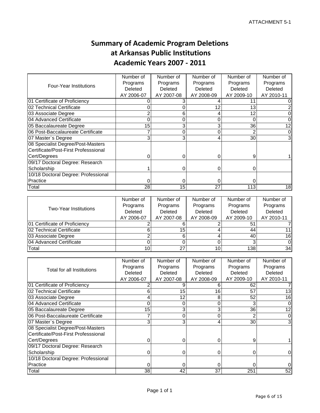## **Summary of Academic Program Deletions at Arkansas Public Institutions Academic Years 2007 ‐ 2011**

|                                      | Number of  | Number of  | Number of  | Number of      | Number of  |
|--------------------------------------|------------|------------|------------|----------------|------------|
| <b>Four-Year Institutions</b>        | Programs   | Programs   | Programs   | Programs       | Programs   |
|                                      | Deleted    | Deleted    | Deleted    | <b>Deleted</b> | Deleted    |
|                                      | AY 2006-07 | AY 2007-08 | AY 2008-09 | AY 2009-10     | AY 2010-11 |
| 01 Certificate of Proficiency        |            |            |            |                |            |
| 02 Technical Certificate             |            |            | 12         | 13             |            |
| 03 Associate Degree                  |            | 6          |            | 12             |            |
| 04 Advanced Certificate              |            |            |            |                |            |
| 05 Baccalaureate Degree              | 15         | 3          | 3          | 36             |            |
| 06 Post-Baccalaureate Certificate    |            | 0          | ი          |                |            |
| 07 Master's Degree                   | 3          | 3          | 4          | 30             |            |
| 08 Specialist Degree/Post-Masters    |            |            |            |                |            |
| Certificate/Post-First Professsional |            |            |            |                |            |
| Cert/Degrees                         |            |            |            | 9              |            |
| 09/17 Doctoral Degree: Research      |            |            |            |                |            |
| Scholarship                          |            |            | 0          | 0              |            |
| 10/18 Doctoral Degree: Professional  |            |            |            |                |            |
| Practice                             | 0          | 0          | 0          | 0              |            |
| Total                                | 28         | 15         | 27         | 113            | 18         |

|                                  | Number of      | Number of  | Number of  | Number of  | Number of  |
|----------------------------------|----------------|------------|------------|------------|------------|
| <b>Two-Year Institutions</b>     | Programs       | Programs   | Programs   | Programs   | Programs   |
|                                  | <b>Deleted</b> | Deleted    | Deleted    | Deleted    | Deleted    |
|                                  | AY 2006-07     | AY 2007-08 | AY 2008-09 | AY 2009-10 | AY 2010-11 |
| 01 Certificate of Proficiency    |                |            |            | 51         |            |
| <b>102 Technical Certificate</b> |                | 15         |            | 44         |            |
| 03 Associate Degree              |                | 6          |            | 40         | 16         |
| 04 Advanced Certificate          |                |            |            |            |            |
| Total                            | 10             | 27         | 10         | 138        | 34         |

|                                      | Number of       | Number of  | Number of  | Number of  | Number of  |
|--------------------------------------|-----------------|------------|------------|------------|------------|
| Total for all Institutions           | Programs        | Programs   | Programs   | Programs   | Programs   |
|                                      | Deleted         | Deleted    | Deleted    | Deleted    | Deleted    |
|                                      | AY 2006-07      | AY 2007-08 | AY 2008-09 | AY 2009-10 | AY 2010-11 |
| 01 Certificate of Proficiency        |                 |            | 6          | 62         |            |
| <b>102 Technical Certificate</b>     | 6               | 15         | 16         | 57         | 13         |
| 03 Associate Degree                  | 4               | 12         | 8          | 52         | 16         |
| 04 Advanced Certificate              | 0               | 0          | 0          |            |            |
| 05 Baccalaureate Degree              | 15              | 3          | 3          | 36         |            |
| 06 Post-Baccalaureate Certificate    |                 | 0          | 0          |            |            |
| 07 Master's Degree                   | 3               | 3          | 4          | 30         |            |
| 08 Specialist Degree/Post-Masters    |                 |            |            |            |            |
| Certificate/Post-First Professsional |                 |            |            |            |            |
| Cert/Degrees                         | 0               | 0          |            | 9          |            |
| 09/17 Doctoral Degree: Research      |                 |            |            |            |            |
| Scholarship                          | 0               |            |            |            |            |
| 10/18 Doctoral Degree: Professional  |                 |            |            |            |            |
| Practice                             | 0               | 0          | 0          |            |            |
| Total                                | 38 <sup>°</sup> | 42         | 37         | 251        | 52         |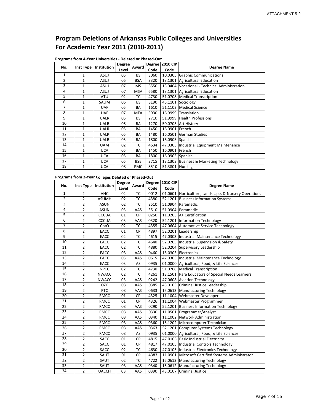## **Program Deletions of Arkansas Public Colleges and Universities For Academic Year 2011 (2010‐2011)**

|     |              |                    | <b>Degree</b> |            | <b>Degree</b> | <b>2010 CIP</b> |                                               |
|-----|--------------|--------------------|---------------|------------|---------------|-----------------|-----------------------------------------------|
| No. | Inst Type    | <b>Institution</b> | Level         | Award      | Code          | Code            | <b>Degree Name</b>                            |
| 1   | $\mathbf{1}$ | ASUJ               | 05            | <b>BS</b>  | 3060          |                 | 10.0305 Graphic Communications                |
| 2   | $\mathbf{1}$ | ASUJ               | 05            | <b>BSA</b> | 3320          |                 | 13.1301 Agricultural Education                |
| 3   | 1            | ASUJ               | 07            | MS         | 6550          |                 | 13.0404 Vocational - Technical Administration |
| 4   | 1            | ASUJ               | 07            | <b>MSA</b> | 6580          |                 | 13.1301 Agricultural Education                |
| 5   | $\mathbf{1}$ | ATU                | 02            | ТC         | 4730          |                 | 51.0708   Medical Transcription               |
| 6   | $\mathbf{1}$ | <b>SAUM</b>        | 05            | <b>BS</b>  | 3190          |                 | 45.1101 Sociology                             |
| 7   | $\mathbf{1}$ | <b>UAF</b>         | 05            | <b>BA</b>  | 1610          |                 | 51.1102 Medical Science                       |
| 8   | $\mathbf{1}$ | <b>UAF</b>         | 07            | <b>MFA</b> | 5930          |                 | 16.9999 Translation                           |
| 9   | $\mathbf{1}$ | <b>UALR</b>        | 05            | <b>BS</b>  | 2710          |                 | 51.9999 Health Professions                    |
| 10  | 1            | <b>UALR</b>        | 05            | BA         | 1270          |                 | 50.0703 Art History                           |
| 11  | $\mathbf{1}$ | <b>UALR</b>        | 05            | BA         | 1450          | 16.0901 French  |                                               |
| 12  | 1            | <b>UALR</b>        | 05            | <b>BA</b>  | 1480          |                 | 16.0501 German Studies                        |
| 13  | $\mathbf{1}$ | <b>UALR</b>        | 05            | <b>BA</b>  | 1800          | 16.0905 Spanish |                                               |
| 14  | $\mathbf{1}$ | <b>UAM</b>         | 02            | тc         | 4634          |                 | 47.0303  Industrial Equipment Maintenance     |
| 15  | $\mathbf{1}$ | <b>UCA</b>         | 05            | <b>BA</b>  | 1450          | 16.0901 French  |                                               |
| 16  | $\mathbf{1}$ | <b>UCA</b>         | 05            | <b>BA</b>  | 1800          | 16.0905 Spanish |                                               |
| 17  | $\mathbf{1}$ | <b>UCA</b>         | 05            | <b>BSE</b> | 3715          |                 | 13.1303 Business & Marketing Technology       |
| 18  | 1            | <b>UCA</b>         | 08            | <b>PMC</b> | 8510          | 51.3801 Nursing |                                               |

#### **Programs from 4‐Year Universities ‐ Deleted or Phased‐Out**

#### **Programs from 2‐Year Colleges Deleted or Phased‐Out**

|              |                |              | <b>Degree</b> | Award     |      | Degree 2010 CIP |                                                       |
|--------------|----------------|--------------|---------------|-----------|------|-----------------|-------------------------------------------------------|
| No.          | Inst Type      | Institution  | Level         |           | Code | Code            | <b>Degree Name</b>                                    |
| $\mathbf{1}$ | $\overline{2}$ | <b>ANC</b>   | 02            | TC        | 0012 |                 | 01.0601 Horticulture, Landscape, & Nursery Operations |
| 2            | 2              | <b>ASUMH</b> | 02            | TC        | 4380 |                 | 52.1201 Business Information Systems                  |
| 3            | 2              | <b>ASUN</b>  | 02            | TC        | 2510 |                 | 51.0904 Paramedic                                     |
| 4            | 2              | <b>ASUN</b>  | 03            | AAS       | 3510 |                 | 51.0904 Paramedic                                     |
| 5            | 2              | <b>CCCUA</b> | 01            | <b>CP</b> | 0250 |                 | 11.0203 A+ Certification                              |
| 6            | 2              | <b>CCCUA</b> | 03            | AAS       | 0320 |                 | 52.1201 Information Technology                        |
| 7            | $\overline{2}$ | CotO         | 02            | <b>TC</b> | 4355 |                 | 47.0604 Automotive Service Technology                 |
| 8            | 2              | EACC         | 01            | <b>CP</b> | 4897 |                 | 52.0201 Leadership                                    |
| 9            | $\overline{2}$ | EACC         | 02            | <b>TC</b> | 4615 |                 | 47.0303  Industrial Maintenance Technology            |
| 10           | 2              | EACC         | 02            | TC        | 4640 |                 | 52.0205 Industrial Supervision & Safety               |
| 11           | $\overline{2}$ | EACC         | 02            | TC        | 4880 |                 | 52.0204 Supervisory Leadership                        |
| 12           | $\overline{2}$ | EACC         | 03            | AAS       | 0460 |                 | 15.0303 Electronics                                   |
| 13           | 2              | EACC         | 03            | AAS       | 0615 |                 | 47.0303 Industrial Maintenance Technology             |
| 14           | $\overline{2}$ | EACC         | 03            | AS        | 0935 |                 | 01.0000 Agricultural, Food, & Life Sciences           |
| 15           | $\overline{2}$ | <b>NPCC</b>  | 02            | TC        | 4730 |                 | 51.0708 Medical Transcription                         |
| 16           | 2              | <b>NWACC</b> | 02            | TC        | 4261 |                 | 13.1501 Para Educators of Special Needs Learners      |
| 17           | $\overline{2}$ | <b>NWACC</b> | 03            | AAS       | 0242 |                 | 47.0608 Aviation Technology                           |
| 18           | 2              | <b>OZC</b>   | 03            | AAS       | 0385 |                 | 43.0103 Criminal Justice Leadership                   |
| 19           | 2              | PTC          | 03            | AAS       | 0633 |                 | 15.0613 Manufacturing Technology                      |
| 20           | 2              | <b>RMCC</b>  | 01            | CP        | 4325 |                 | 11.1004 Webmaster Developer                           |
| 21           | 2              | <b>RMCC</b>  | 01            | <b>CP</b> | 4326 |                 | 11.1004 Webmaster Programmer                          |
| 22           | 2              | <b>RMCC</b>  | 03            | AAS       | 0290 |                 | 52.1201 Business Information Technology               |
| 23           | 2              | <b>RMCC</b>  | 03            | AAS       | 0330 |                 | 11.0501 Programmer/Analyst                            |
| 24           | $\overline{2}$ | <b>RMCC</b>  | 03            | AAS       | 0340 |                 | 11.1002 Network Administration                        |
| 25           | 2              | <b>RMCC</b>  | 03            | AAS       | 0360 |                 | 15.1202 Microcomputer Technician                      |
| 26           | 2              | <b>RMCC</b>  | 03            | AAS       | 0363 |                 | 52.1201 Computer Systems Technology                   |
| 27           | 2              | <b>RMCC</b>  | 03            | AS        | 0935 |                 | 01.0000 Agricultural, Food, & Life Sciences           |
| 28           | 2              | <b>SACC</b>  | 01            | <b>CP</b> | 4815 |                 | 47.0105 Basic Industrial Electricity                  |
| 29           | 2              | SACC         | 01            | <b>CP</b> | 4817 |                 | 47.0105   Industrial Controls Technology              |
| 30           | 2              | SACC         | 02            | TC        | 4630 |                 | 47.0105   Industrial Electronics Technology           |
| 31           | $\overline{2}$ | SAUT         | 01            | <b>CP</b> | 4383 |                 | 11.0901 Microsoft Certified Systems Administrator     |
| 32           | $\overline{2}$ | SAUT         | 02            | TC        | 4722 |                 | 15.0613 Manufacturing Technology                      |
| 33           | $\overline{2}$ | SAUT         | 03            | AAS       | 0340 |                 | 15.0612 Manufacturing Technology                      |
| 34           | $\overline{2}$ | <b>UACCH</b> | 03            | AAS       | 0390 |                 | 43.0107 Criminal Justice                              |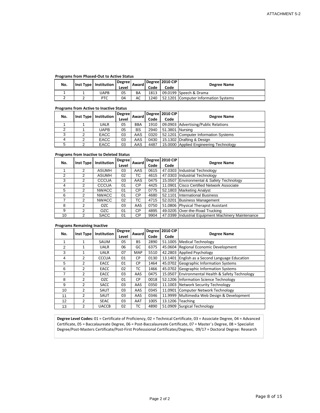#### **Programs from Phased‐Out to Active Status**

| No. | Inst Type   Institution | <b>Degree</b><br>Level | Award | Code | Degree   2010 CIP<br>Code | <b>Degree Name</b>                   |
|-----|-------------------------|------------------------|-------|------|---------------------------|--------------------------------------|
|     | UAPB                    | 05                     | BA    | 1813 |                           | 09.0199 Speech & Drama               |
|     | PTC                     | 04                     | AC    | 1240 |                           | 52.1201 Computer Information Systems |

#### **Programs from Active to Inactive Status**

| No. | Inst Type   Institution | <b>Degree</b><br>Award |            | Degree   2010 CIP | <b>Degree Name</b> |                                        |
|-----|-------------------------|------------------------|------------|-------------------|--------------------|----------------------------------------|
|     |                         | Level                  |            | Code              | Code               |                                        |
|     | UALR                    | 05                     | <b>BBA</b> | 1910              |                    | 09.0903 Advertising/Public Relations   |
|     | UAPB                    | 05                     | <b>BS</b>  | 2940              | 51.3801 Nursing    |                                        |
| 3   | EACC                    | 03                     | AAS        | 0320              |                    | 52.1201 Computer Information Systems   |
| 4   | <b>EACC</b>             | 03                     | AAS        | 0430              |                    | 15.1302 Drafting & Design              |
| 5   | EACC                    | 03                     | AAS        | 4487              |                    | 15.0000 Applied Engineering Technology |

#### **Programs from Inactive to Deleted Status**

|     |           |              | <b>Degree</b> |           |      | Degree 2010 CIP |                                                    |
|-----|-----------|--------------|---------------|-----------|------|-----------------|----------------------------------------------------|
| No. | Inst Type | Institution  | Level         | Award     | Code | Code            | <b>Degree Name</b>                                 |
|     | 2         | <b>ASUMH</b> | 03            | AAS       | 0615 |                 | 47.0303 Industrial Technology                      |
| 2   | 2         | <b>ASUMH</b> | 02            | ТC        | 4615 |                 | 47.0303 Industrial Technology                      |
| 3   | 2         | <b>CCCUA</b> | 03            | AAS       | 0475 |                 | 15.0507 Environmental & Safety Technology          |
| 4   | 2         | <b>CCCUA</b> | 01            | СP        | 4425 |                 | 11.0901 Cisco Certified Network Associate          |
| 5   | 2         | <b>NWACC</b> | 01            | СP        | 0775 |                 | 52.1803 Marketing Analyst                          |
| 6   | 2         | <b>NWACC</b> | 01            | СP        | 4680 |                 | 52.1101 International Business                     |
|     | 2         | <b>NWACC</b> | 02            | ТC        | 4715 | 52.0201         | <b>Business Management</b>                         |
| 8   |           | OZC.         | 03            | AAS       | 0750 |                 | 51.0806 Physical Therapist Assistant               |
| 9   | 2         | OZC.         | 01            | <b>CP</b> | 4895 |                 | 49.0205 Over-the-Road Trucking                     |
| 10  | 2         | <b>SACC</b>  | 01            | <b>CP</b> | 9904 |                 | 47.0399 Industrial Equipment Machinery Maintenance |

#### **Programs Remaining Inactive**

| No. |               | <b>Institution</b> | Degree | Award      | <b>Degree</b> | <b>2010 CIP</b> |                                                  |
|-----|---------------|--------------------|--------|------------|---------------|-----------------|--------------------------------------------------|
|     | Inst Type     |                    | Level  |            | Code          | Code            | <b>Degree Name</b>                               |
| 1   | 1             | SAUM               | 05     | BS.        | 2890          | 51.1005         | <b>Medical Technology</b>                        |
| 2   | 1             | <b>UALR</b>        | 06     | GC         | 6375          | 45.0604         | Regional Economic Development                    |
| 3   | $\mathbf{1}$  | <b>UALR</b>        | 07     | <b>MAP</b> | 5510          | 42.2803         | Applied Psychology                               |
| 4   | 2             | <b>CCCUA</b>       | 01     | CP.        | 0130          | 13.1401         | English as a Second Language Education           |
| 5   | 2             | EACC               | 01     | CP.        | 1464          |                 | 45.0702 Geographic Information Systems           |
| 6   | 2             | EACC               | 02     | тс         | 1466          | 45.0702         | <b>Geographic Information Systems</b>            |
| 7   | 2             | EACC               | 03     | AAS        | 0475          |                 | 15.0507 Environmental Health & Safety Technology |
| 8   | 2             | <b>OZC</b>         | 01     | CP.        | 0018          |                 | 52.1206 Information Science Technology           |
| 9   | $\mathcal{P}$ | <b>SACC</b>        | 03     | AAS        | 0350          | 11.1003         | Network Security Technology                      |
| 10  | $\mathcal{P}$ | SAUT               | 03     | AAS        | 0345          | 11.0901         | Computer Network Technology                      |
| 11  | $\mathcal{P}$ | SAUT               | 03     | AAS        | 0346          |                 | 11.9999 Multimedia Web Design & Development      |
| 12  | $\mathcal{P}$ | <b>SEAC</b>        | 03     | AAT        | 1005          | 13.1206         | Teaching                                         |
| 13  | 2             | <b>UACCB</b>       | 02     | тс         | 4890          | 51.0909         | Surgical Technology                              |

**Degree Level Codes:** 01 = Certificate of Proficiency, 02 = Technical Certificate, 03 = Associate Degree, 04 = Advanced Certificate, 05 = Baccalaureate Degree, 06 = Post‐Baccalaureate Certificate, 07 = Master`s Degree, 08 = Specialist Degree/Post‐Masters Certificate/Post‐First Professsional Certificates/Degrees, 09/17 = Doctoral Degree: Research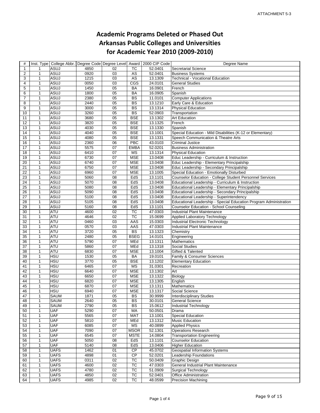## **Academic Programs Deleted or Phased Out Arkansas Public Colleges and Universities for Academic Year 2010 (2009‐2010)**

| $\#$            |                   |                     |              |                 |                        | Inst. Type   College Abbr.   Degree Code   Degree Level   Award   2000 CIP Code | Degree Name                                                       |  |
|-----------------|-------------------|---------------------|--------------|-----------------|------------------------|---------------------------------------------------------------------------------|-------------------------------------------------------------------|--|
| $\mathbf{1}$    | 1                 | ASUJ                | 4850         | 02              | $\overline{\text{TC}}$ | 52.0401                                                                         | Secretarial Science                                               |  |
| $\overline{2}$  | $\mathbf{1}$      | <b>ASUJ</b>         | 0920         | 03              | ${\sf AS}$             | 52.0401                                                                         | <b>Business Systems</b>                                           |  |
| 3               | $\mathbf{1}$      | <b>ASUJ</b>         | 1215         | $\overline{03}$ | <b>AS</b>              | 13.1309                                                                         | Technical - Vocational Education                                  |  |
| 4               | $\mathbf{1}$      | <b>ASUJ</b>         | 0050         | 03              | CGS                    | 24.0101                                                                         | <b>General Studies</b>                                            |  |
| 5               | $\mathbf{1}$      | ASUJ                | 1450         | 05              | <b>BA</b>              | 16.0901                                                                         | French                                                            |  |
| 6               | $\mathbf{1}$      | <b>ASUJ</b>         | 1800         | 05              | <b>BA</b>              | 16.0905                                                                         | Spanish                                                           |  |
| $\overline{7}$  | $\mathbf{1}$      | <b>ASUJ</b>         | 2380         | 05              | $\overline{BS}$        | 11.0101                                                                         | <b>Computer Applications</b>                                      |  |
| 8               | $\mathbf{1}$      | <b>ASUJ</b>         | 2440         | 05              | <b>BS</b>              | 13.1210                                                                         | Early Care & Education                                            |  |
| 9               | $\mathbf{1}$      | ASUJ                | 3000         | 05              | <b>BS</b>              | 13.1314                                                                         | <b>Physical Education</b>                                         |  |
| 10              | $\mathbf{1}$      | <b>ASUJ</b>         | 3260         | 05              | $\overline{BS}$        | 52.0903                                                                         | Transportation                                                    |  |
| 11              | $\mathbf{1}$      | ASUJ                | 3680         | 05              | <b>BSE</b>             | 13.1302                                                                         | <b>Art Education</b>                                              |  |
| 12              | $\mathbf{1}$      | ASUJ                | 3820         | 05              | <b>BSE</b>             | 13.1325                                                                         | French                                                            |  |
| 13              | $\mathbf{1}$      | <b>ASUJ</b>         | 4030         | 05              | <b>BSE</b>             | 13.1330                                                                         | Spanish                                                           |  |
| 14              |                   | ASUJ                | 4040         | $\overline{05}$ | <b>BSE</b>             | 13.1001                                                                         | Special Education - Mild Disabilities (K-12 or Elementary)        |  |
|                 | $\mathbf{1}$      |                     |              |                 |                        |                                                                                 |                                                                   |  |
| 15              | $\mathbf{1}$      | <b>ASUJ</b>         | 4080         | 05              | <b>BSE</b>             | 13.1331                                                                         | Speech Communication & Theatre Arts                               |  |
| 16              | $\mathbf{1}$      | ASUJ                | 2360         | 06              | PBC                    | 43.0103                                                                         | <b>Criminal Justice</b>                                           |  |
| 17              | $\mathbf{1}$      | <b>ASUJ</b>         | 5575         | 07              | <b>EMBA</b>            | 52.0201                                                                         | <b>Business Administration</b>                                    |  |
| 18              | $\mathbf{1}$      | ASUJ                | 6410         | 07              | <b>MS</b>              | 13.1314                                                                         | <b>Physical Education</b>                                         |  |
| 19              | $\mathbf{1}$      | ASUJ                | 6730         | 07              | <b>MSE</b>             | 13.0408                                                                         | Educ Leadership - Curriculum & Instruction                        |  |
| 20              | $\mathbf{1}$      | <b>ASUJ</b>         | 6740         | 07              | <b>MSE</b>             | 13.0408                                                                         | Educ Leadership - Elementary Principalship                        |  |
| 21              | $\mathbf{1}$      | <b>ASUJ</b>         | 6750         | 07              | <b>MSE</b>             | 13.0408                                                                         | Educ Leadership - Secondary Principalship                         |  |
| 22              | $\mathbf{1}$      | ASUJ                | 6960         | 07              | <b>MSE</b>             | 13.1005                                                                         | Special Education - Emotionally Disturbed                         |  |
| 23              | 1                 | ASUJ                | 5060         | 08              | EdS                    | 13.1101                                                                         | <b>Counselor Education - College Student Personnel Services</b>   |  |
| 24              | $\mathbf{1}$      | <b>ASUJ</b>         | 5070         | $\overline{08}$ | EdS                    | 13.0408                                                                         | Educational Leadership - Curriculum & Instruction                 |  |
| $\overline{25}$ | $\mathbf{1}$      | <b>ASUJ</b>         | 5080         | $\overline{08}$ | EdS                    | 13.0408                                                                         | Educational Leadership - Elementary Principalship                 |  |
| 26              | $\mathbf{1}$      | <b>ASUJ</b>         | 5090         | 08              | EdS                    | 13.0408                                                                         | Educational Leadership - Secondary Principalship                  |  |
| 27              | $\mathbf{1}$      | <b>ASUJ</b>         | 5100         | 08              | EdS                    | 13.0408                                                                         | Educational Leadership - Superintendency                          |  |
| 28              | $\mathbf{1}$      | <b>ASUJ</b>         | 5105         | $\overline{08}$ | EdS                    | 13.0408                                                                         | Educational Leadership - Special Education Program Administration |  |
| 29              | $\mathbf{1}$      | <b>ASUJ</b>         | 5160         | 08              | EdS                    | 13.1101                                                                         | Counselor Education - School Counseling                           |  |
| 30              | $\mathbf{1}$      | <b>ATU</b>          | 4600         | $\overline{02}$ | TC                     | 47.0303                                                                         | <b>Industrial Plant Maintenance</b>                               |  |
| 31              | $\mathbf{1}$      | <b>ATU</b>          | 4646         | 02              | <b>TC</b>              | 15.0699                                                                         | Applied Laboratory Technology                                     |  |
| $\overline{32}$ | $\mathbf{1}$      | <b>ATU</b>          | 0460         | 03              | AAS                    | 15.0303                                                                         | <b>Industrial Electronic Technology</b>                           |  |
| 33              | $\mathbf{1}$      | <b>ATU</b>          | 0570         | 03              | AAS                    | 47.0303                                                                         | <b>Industrial Plant Maintenance</b>                               |  |
| 34              | $\mathbf{1}$      | <b>ATU</b>          | 3720         | 05              | <b>BS</b>              | 13.1323                                                                         | Chemistry                                                         |  |
| 35              | 1                 | <b>ATU</b>          | 2480         | $\overline{05}$ | <b>BSEG</b>            | 14.0101                                                                         | Engineering                                                       |  |
| 36              | $\mathbf{1}$      | <b>ATU</b>          | 5790         | 07              | MEd                    | 13.1311                                                                         | <b>Mathematics</b>                                                |  |
| 37              | $\mathbf{1}$      | ATU                 | 5860         | 07              | MEd                    | 13.1318                                                                         | <b>Social Studies</b>                                             |  |
| 38              | $\mathbf{1}$      | <b>ATU</b>          | 6830         | $\overline{07}$ | <b>MSE</b>             | 13.1004                                                                         | Gifted & Talented                                                 |  |
| 39              | $\mathbf{1}$      | <b>HSU</b>          | 1530         | $\overline{05}$ | <b>BA</b>              | 19.0101                                                                         | Family & Consumer Sciences                                        |  |
| 40              | $\mathbf{1}$      | <b>HSU</b>          | 3770         | 05              | <b>BSE</b>             | 13.1202                                                                         | <b>Elementary Education</b>                                       |  |
| 41              | $\mathbf{1}$      | <b>HSU</b>          | 6465         | 07              | <b>MS</b>              | 31.0301                                                                         | Recreation                                                        |  |
| 42              | 1                 | <b>HSU</b>          | 6640         | 07              | <b>MSE</b>             | 13.1302                                                                         | Art                                                               |  |
| 43              | $\mathbf{1}$      | <b>HSU</b>          | 6650         | 07              | <b>MSE</b>             | 13.1322                                                                         | Biology                                                           |  |
| 44              | $\mathbf{1}$      | <b>HSU</b>          | 6820         | 07              | <b>MSE</b>             | 13.1305                                                                         | English                                                           |  |
| 45              | 1                 | <b>HSU</b>          | 6870         | 07              | <b>MSE</b>             | 13.1311                                                                         | Mathematics                                                       |  |
| 46              | $\mathbf{1}$      | <b>HSU</b>          | 6940         | $\overline{07}$ | <b>MSE</b>             | 13.1317                                                                         | Social Science                                                    |  |
|                 |                   |                     |              |                 |                        |                                                                                 |                                                                   |  |
| 47<br>48        | 1<br>$\mathbf{1}$ | SAUM<br><b>SAUM</b> | 1871<br>2640 | 05<br>05        | BS<br><b>BS</b>        | 30.9999<br>30.0101                                                              | Interdisciplinary Studies<br><b>General Science</b>               |  |
|                 |                   |                     |              |                 |                        | 15.0612                                                                         |                                                                   |  |
| 49              | 1                 | SAUM                | 2790         | 05              | <b>BS</b>              |                                                                                 | <b>Industrial Technology</b>                                      |  |
| 50              | $\mathbf{1}$      | <b>UAF</b>          | 5290         | 07              | MA                     | 50.0501                                                                         | Drama                                                             |  |
| 51              | $\mathbf{1}$      | <b>UAF</b>          | 5565         | 07              | <b>MAT</b>             | 13.1001                                                                         | <b>Special Education</b>                                          |  |
| 52              | $\mathbf{1}$      | <b>UAF</b>          | 5810         | 07              | MEd                    | 13.1312                                                                         | Music Education                                                   |  |
| 53              | $\mathbf{1}$      | <b>UAF</b>          | 6085         | 07              | MS                     | 40.0899                                                                         | <b>Applied Physics</b>                                            |  |
| 54              | $\mathbf{1}$      | <b>UAF</b>          | 7090         | 07              | <b>MSOR</b>            | 52.1301                                                                         | <b>Operations Research</b>                                        |  |
| 55              | $\mathbf{1}$      | <b>UAF</b>          | 6545         | 07              | <b>MSTE</b>            | 14.0804                                                                         | <b>Transportation Engineering</b>                                 |  |
| 56              | $\mathbf{1}$      | <b>UAF</b>          | 5050         | 08              | EdS                    | 13.1101                                                                         | <b>Counselor Education</b>                                        |  |
| 57              | $\mathbf{1}$      | <b>UAF</b>          | 5140         | 08              | EdS                    | 13.0406                                                                         | <b>Higher Education</b>                                           |  |
| 58              | $\mathbf{1}$      | <b>UAFS</b>         | 1462         | 01              | $\overline{CP}$        | 45.0702                                                                         | <b>Geospatial Information Systems</b>                             |  |
| 59              | $\mathbf{1}$      | <b>UAFS</b>         | 4898         | 01              | <b>CP</b>              | 52.0201                                                                         | Leadership Foundations                                            |  |
| 60              | $\mathbf{1}$      | <b>UAFS</b>         | 0311         | 02              | TC                     | 50.0409                                                                         | <b>Graphic Design</b>                                             |  |
| 61              | 1                 | <b>UAFS</b>         | 4600         | 02              | TC                     | 47.0303                                                                         | General Industrial Plant Maintenance                              |  |
| 62              | $\mathbf{1}$      | <b>UAFS</b>         | 4780         | 02              | TC                     | 51.0909                                                                         | <b>Surgical Technology</b>                                        |  |
| 63              | $\mathbf{1}$      | <b>UAFS</b>         | 4850         | 02              | TC                     | 52.0401                                                                         | Office Administration                                             |  |
| 64              | $\mathbf{1}$      | <b>UAFS</b>         | 4985         | 02              | TC                     | 48.0599                                                                         | <b>Precision Machining</b>                                        |  |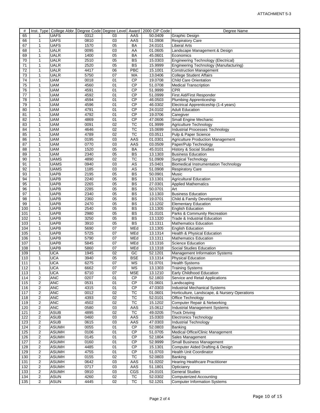| #   |                |              |      |                 |                 | Inst. Type   College Abbr.   Degree Code   Degree Level   Award   2000 CIP Code | Degree Name                                   |
|-----|----------------|--------------|------|-----------------|-----------------|---------------------------------------------------------------------------------|-----------------------------------------------|
| 65  | 1              | <b>UAFS</b>  | 0312 | 03              | AAS             | 50.0409                                                                         | Graphic Design                                |
| 66  | $\mathbf{1}$   | <b>UAFS</b>  | 0810 | 03              | AAS             | 51.0908                                                                         | <b>Respiratory Care</b>                       |
| 67  | $\mathbf{1}$   | <b>UAFS</b>  | 1570 | 05              | BA              | 24.0101                                                                         | <b>Liberal Arts</b>                           |
| 68  | 1              | <b>UALR</b>  | 0095 | 03              | AA              | 01.0605                                                                         | Landscape Management & Design                 |
| 69  | $\mathbf{1}$   | <b>UALR</b>  | 1400 | 05              | <b>BA</b>       | 45.0601                                                                         | Economics                                     |
| 70  | $\mathbf{1}$   | <b>UALR</b>  | 2510 | 05              | <b>BS</b>       | 15.0303                                                                         | <b>Engineering Technology (Electrical)</b>    |
| 71  | $\mathbf{1}$   | <b>UALR</b>  | 2520 | 05              | $\overline{BS}$ | 15.9999                                                                         | Engineering Technology (Manufacturing)        |
| 72  | $\mathbf{1}$   | UALR         | 4417 | 06              | PBC             | 15.1001                                                                         | <b>Construction Management</b>                |
| 73  | $\mathbf{1}$   | <b>UALR</b>  | 5750 | 07              | MA              | 13.0406                                                                         | <b>College Student Affairs</b>                |
| 74  |                | UAM          | 0018 | 01              | $\overline{CP}$ | 19.0708                                                                         | <b>Child Care Orientation</b>                 |
|     | 1              | <b>UAM</b>   |      |                 | CP              |                                                                                 |                                               |
| 75  | $\mathbf{1}$   |              | 4560 | 01              |                 | 51.0708                                                                         | <b>Medical Transcription</b>                  |
| 76  | 1              | <b>UAM</b>   | 4591 | 01              | CP              | 51.9999                                                                         | <b>CPR</b>                                    |
| 77  | $\mathbf{1}$   | <b>UAM</b>   | 4592 | 01              | <b>CP</b>       | 51.0999                                                                         | <b>First Aid/First Responder</b>              |
| 78  | $\mathbf{1}$   | <b>UAM</b>   | 4594 | 01              | $\overline{CP}$ | 46.0503                                                                         | <b>Plumbing Apprenticeship</b>                |
| 79  | $\mathbf{1}$   | <b>UAM</b>   | 4596 | 01              | $\overline{CP}$ | 46.0302                                                                         | Electrical Apprenticeship (1-4 years)         |
| 80  | $\mathbf{1}$   | <b>UAM</b>   | 4791 | 01              | CP              | 24.0102                                                                         | <b>Adult Education</b>                        |
| 81  | 1              | <b>UAM</b>   | 4792 | 01              | <b>CP</b>       | 19.0706                                                                         | Caregiver                                     |
| 82  | 1              | <b>UAM</b>   | 4869 | 01              | $\overline{CP}$ | 47.0606                                                                         | Small Engine Mechanic                         |
| 83  | 1              | <b>UAM</b>   | 0091 | $\overline{02}$ | TC              | 01.9999                                                                         | Agriculture Technology                        |
| 84  | $\mathbf{1}$   | <b>UAM</b>   | 4646 | 02              | TC              | 15.0699                                                                         | Industrial Processes Technology               |
| 85  | $\mathbf{1}$   | <b>UAM</b>   | 4789 | 02              | <b>TC</b>       | 03.0511                                                                         | Pulp & Paper Science                          |
| 86  | $\mathbf{1}$   | <b>UAM</b>   | 0195 | 03              | AAS             | 01.0301                                                                         | <b>Agriculture Production Management</b>      |
| 87  | 1              | <b>UAM</b>   | 0770 | 03              | AAS             | 03.0509                                                                         | Paper/Pulp Technology                         |
| 88  | $\mathbf{1}$   | UAM          | 1520 | 05              | <b>BA</b>       | 45.0101                                                                         | <b>History &amp; Social Studies</b>           |
|     |                | <b>UAM</b>   | 2340 | 05              | <b>BS</b>       | 13.1303                                                                         | <b>Business Education</b>                     |
| 89  | 1              | <b>UAMS</b>  |      |                 |                 |                                                                                 |                                               |
| 90  | $\mathbf{1}$   |              | 4890 | 02              | $\overline{TC}$ | 51.0909                                                                         | <b>Surgical Technology</b>                    |
| 91  | $\mathbf{1}$   | <b>UAMS</b>  | 0940 | 03              | AS              | 15.0401                                                                         | <b>Biomedical Instrumentation Technology</b>  |
| 92  | $\mathbf{1}$   | <b>UAMS</b>  | 1185 | 03              | AS              | 51.0908                                                                         | <b>Respiratory Care</b>                       |
| 93  | 1              | <b>UAPB</b>  | 2195 | 05              | $\overline{BS}$ | 50.0901                                                                         | Music                                         |
| 94  | $\mathbf{1}$   | <b>UAPB</b>  | 2240 | 05              | BS              | 13.1301                                                                         | <b>Agricultural Education</b>                 |
| 95  | 1              | <b>UAPB</b>  | 2265 | 05              | <b>BS</b>       | 27.0301                                                                         | <b>Applied Mathematics</b>                    |
| 96  | 1              | <b>UAPB</b>  | 2285 | 05              | $\overline{BS}$ | 50.0701                                                                         | Art                                           |
| 97  | $\mathbf{1}$   | <b>UAPB</b>  | 2340 | 05              | $\overline{BS}$ | 13.1303                                                                         | <b>Business Education</b>                     |
| 98  | $\mathbf{1}$   | <b>UAPB</b>  | 2360 | 05              | <b>BS</b>       | 19.0701                                                                         | Child & Family Development                    |
| 99  | $\mathbf{1}$   | <b>UAPB</b>  | 2470 | 05              | BS              | 13.1202                                                                         | <b>Elementary Education</b>                   |
| 100 | 1              | <b>UAPB</b>  | 2540 | 05              | $\overline{BS}$ | 13.1305                                                                         | <b>English Education</b>                      |
| 101 | $\mathbf{1}$   | <b>UAPB</b>  | 2980 | 05              | <b>BS</b>       | 31.0101                                                                         | Parks & Community Recreation                  |
| 102 | $\mathbf{1}$   | <b>UAPB</b>  | 3250 | 05              | <b>BS</b>       | 13.1320                                                                         | Trade & Industrial Education                  |
| 103 | $\mathbf{1}$   | <b>UAPB</b>  | 3910 | 05              | $\overline{BS}$ | 13.1311                                                                         | <b>Mathematics Education</b>                  |
| 104 | $\mathbf{1}$   | <b>UAPB</b>  | 5690 | $\overline{07}$ | <b>MEd</b>      | 13.1305                                                                         | <b>English Education</b>                      |
|     |                | <b>UAPB</b>  |      | 07              |                 |                                                                                 |                                               |
| 105 | 1              |              | 5725 |                 | MEd             | 13.1314<br>13.1311                                                              | Health & Physical Education                   |
| 106 | $\mathbf{1}$   | <b>UAPB</b>  | 5790 | 07              | MEd             |                                                                                 | <b>Mathematics Education</b>                  |
| 107 | $\mathbf{1}$   | <b>UAPB</b>  | 5845 | 07              | MEd             | 13.1316                                                                         | <b>Science Education</b>                      |
| 108 | 1              | <b>UAPB</b>  | 5860 | 07              | MEd             | 13.1318                                                                         | Social Studies Education                      |
| 109 | $\mathbf{1}$   | <b>UCA</b>   | 1945 | $\overline{02}$ | $\overline{GC}$ | 52.1201                                                                         | Management Information Systems                |
| 110 | $\mathbf{1}$   | <b>UCA</b>   | 3940 | 05              | <b>BSE</b>      | 13.1314                                                                         | <b>Physical Education</b>                     |
| 111 | 1              | <b>UCA</b>   | 6275 | $\overline{07}$ | <b>MS</b>       | 51.0701                                                                         | <b>Health Systems</b>                         |
| 112 | $\mathbf{1}$   | <b>UCA</b>   | 6662 | 07              | МS              | 13.1303                                                                         | <b>Training Systems</b>                       |
| 113 | 1              | <b>UCA</b>   | 6710 | 07              | <b>MSE</b>      | 13.1210                                                                         | Early Childhood Education                     |
| 114 | 2              | <b>ANC</b>   | 0207 | 01              | CP              | 52.1803                                                                         | Service and Retail Applications               |
| 115 | 2              | <b>ANC</b>   | 0531 | 01              | CP              | 01.0601                                                                         | Landscaping                                   |
| 116 | 2              | <b>ANC</b>   | 4315 | 01              | <b>CP</b>       | 47.0303                                                                         | <b>Industrial Mechanical Systems</b>          |
| 117 | 2              | <b>ANC</b>   | 0012 | 02              | TC              | 01.0601                                                                         | Horticulture, Landscape, & Nursery Operations |
| 118 | 2              | <b>ANC</b>   | 4393 | 02              | TC              | 52.0101                                                                         | Office Technology                             |
| 119 | 2              | <b>ANC</b>   | 4502 | 02              | TC              | 15.1202                                                                         | Computer Repair & Networking                  |
| 120 | 2              | <b>ANC</b>   | 0580 | 03              | AAS             | 15.0612                                                                         | <b>Industrial Management Systems</b>          |
|     |                |              |      |                 |                 |                                                                                 |                                               |
| 121 | 2              | ASUB         | 4895 | 02              | TC              | 49.0205                                                                         | <b>Truck Driving</b>                          |
| 122 | $\overline{c}$ | <b>ASUB</b>  | 0460 | 03              | AAS             | 15.0303                                                                         | <b>Electronics Technology</b>                 |
| 123 | $\overline{c}$ | <b>ASUB</b>  | 0615 | 03              | AAS             | 47.0303                                                                         | <b>Industrial Technology</b>                  |
| 124 | 2              | <b>ASUMH</b> | 0055 | 01              | <b>CP</b>       | 52.0803                                                                         | Banking                                       |
| 125 | 2              | <b>ASUMH</b> | 0106 | 01              | CP              | 51.0705                                                                         | Medical Office/Clinic Management              |
| 126 | 2              | <b>ASUMH</b> | 0145 | 01              | CP              | 52.1804                                                                         | Sales Management                              |
| 127 | 2              | <b>ASUMH</b> | 0160 | 01              | <b>CP</b>       | 52.9999                                                                         | Small Business Management                     |
| 128 | 2              | <b>ASUMH</b> | 4485 | 01              | $\overline{CP}$ | 15.1301                                                                         | Computer Aided Drafting & Design              |
| 129 | 2              | <b>ASUMH</b> | 4755 | 01              | CP              | 51.0703                                                                         | Health Unit Coordinator                       |
| 130 | 2              | <b>ASUMH</b> | 0155 | 02              | TC              | 52.0803                                                                         | Banking                                       |
| 131 | 2              | <b>ASUMH</b> | 0642 | 03              | AAS             | 51.0202                                                                         | <b>Hearing Healthcare Practitioner</b>        |
| 132 | 2              | <b>ASUMH</b> | 0717 | 03              | AAS             | 51.1801                                                                         | Opticianry                                    |
| 133 | 2              | <b>ASUMH</b> | 0910 | 03              | CGS             | 24.0101                                                                         | <b>General Studies</b>                        |
| 134 | 2              | <b>ASUN</b>  | 4260 | 02              | TC              | 52.0302                                                                         | <b>Computerized Accounting</b>                |
| 135 | 2              | <b>ASUN</b>  | 4445 | 02              | TC              | 52.1201                                                                         | <b>Computer Information Systems</b>           |
|     |                |              |      |                 |                 |                                                                                 |                                               |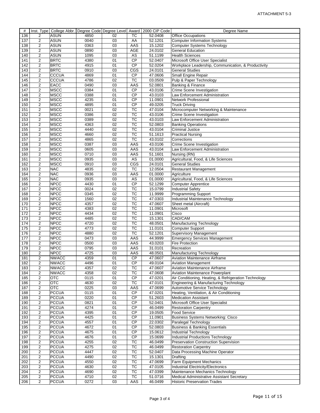| #   |                |                  |      |                 |                        | Inst. Type   College Abbr.   Degree Code   Degree Level   Award   2000 CIP Code | Degree Name                                           |
|-----|----------------|------------------|------|-----------------|------------------------|---------------------------------------------------------------------------------|-------------------------------------------------------|
| 136 | 2              | <b>ASUN</b>      | 4850 | 02              | TC                     | 52.0408                                                                         | <b>Office Occupations</b>                             |
| 137 | $\overline{c}$ | <b>ASUN</b>      | 0040 | 03              | AA                     | 52.1201                                                                         | <b>Computer Information Systems</b>                   |
| 138 | 2              | <b>ASUN</b>      | 0363 | 03              | AAS                    | 15.1202                                                                         | <b>Computer Systems Technology</b>                    |
| 139 | $\overline{2}$ | <b>ASUN</b>      | 0890 | $\overline{03}$ | <b>AGE</b>             | 24.0102                                                                         | <b>General Education</b>                              |
| 140 | 2              | ASUN             | 1095 | 03              | AS                     | 51.1199                                                                         | <b>Health Sciences</b>                                |
| 141 | $\overline{c}$ | <b>BRTC</b>      | 4380 | 01              | CP                     | 52.0407                                                                         | Microsoft Office User Specialist                      |
| 142 | $\overline{c}$ | <b>BRTC</b>      | 4915 | 01              | $\overline{CP}$        | 52.0204                                                                         | Workplace Leadership, Communication, & Productivity   |
|     |                |                  |      |                 |                        |                                                                                 |                                                       |
| 143 | 2              | <b>BRTC</b>      | 0910 | 03              | CGS                    | 24.0101                                                                         | <b>General Studies</b>                                |
| 144 | $\overline{2}$ | <b>CCCUA</b>     | 4869 | 01              | <b>CP</b>              | 47.0606                                                                         | Small Engine Repair                                   |
| 145 | 2              | <b>CCCUA</b>     | 4786 | 02              | <b>TC</b>              | 03.0509                                                                         | Pulp & Paper Technology                               |
| 146 | $\overline{2}$ | EACC             | 0490 | 03              | AAS                    | 52.0801                                                                         | Banking & Finance                                     |
| 147 | 2              | <b>MSCC</b>      | 0384 | 01              | CP                     | 43.0106                                                                         | Crime Scene Investigation                             |
| 148 | $\overline{c}$ | <b>MSCC</b>      | 0388 | 01              | CP                     | 43.0103                                                                         | Law Enforcement Administration                        |
| 149 | $\overline{c}$ | <b>MSCC</b>      | 4235 | 01              | $\overline{CP}$        | 11.0901                                                                         | <b>Network Professional</b>                           |
| 150 | 2              | <b>MSCC</b>      | 4895 | 01              | $\overline{CP}$        | 49.0205                                                                         | <b>Truck Driving</b>                                  |
| 151 | $\overline{2}$ | <b>MSCC</b>      | 0021 | 02              | TC                     | 47.0104                                                                         | Microcomputer Networking & Maintenance                |
| 152 | 2              | <b>MSCC</b>      | 0386 | 02              | <b>TC</b>              | 43.0106                                                                         | Crime Scene Investigation                             |
| 153 | 2              | <b>MSCC</b>      | 0389 | $\overline{02}$ | $\overline{\text{TC}}$ | 43.0103                                                                         | Law Enforcement Administration                        |
| 154 |                | <b>MSCC</b>      |      | $\overline{02}$ | $\overline{\text{TC}}$ | 52.0803                                                                         |                                                       |
|     | 2              |                  | 4363 |                 |                        |                                                                                 | <b>Banking Operations</b>                             |
| 155 | 2              | <b>MSCC</b>      | 4440 | 02              | TC                     | 43.0104                                                                         | <b>Criminal Justice</b>                               |
| 156 | 2              | <b>MSCC</b>      | 4660 | 02              | <b>TC</b>              | 51.1613                                                                         | <b>Practical Nursing</b>                              |
| 157 | 2              | <b>MSCC</b>      | 4865 | 02              | $\overline{\text{TC}}$ | 43.0102                                                                         | Corrections                                           |
| 158 | $\overline{2}$ | <b>MSCC</b>      | 0387 | 03              | AAS                    | 43.0106                                                                         | Crime Scene Investigation                             |
| 159 | 2              | <b>MSCC</b>      | 0605 | 03              | AAS                    | 43.0104                                                                         | Law Enforcement Administration                        |
| 160 | 2              | <b>MSCC</b>      | 0710 | 03              | AAS                    | 51.1601                                                                         | Nursing (RN)                                          |
| 161 | $\overline{c}$ | <b>MSCC</b>      | 0935 | 03              | <b>AS</b>              | 01.0000                                                                         | Agricultural, Food, & Life Sciences                   |
| 162 | 2              | <b>MSCC</b>      | 0910 | 03              | CGS                    | 24.0101                                                                         | General Studies                                       |
| 163 | $\overline{2}$ | <b>NAC</b>       | 4835 | 02              | $\overline{\text{TC}}$ | 12.0504                                                                         | <b>Restaurant Management</b>                          |
| 164 | 2              | <b>NAC</b>       | 0936 | 03              | AAS                    | 01.0000                                                                         | Agriculture                                           |
|     |                |                  |      |                 |                        |                                                                                 |                                                       |
| 165 | 2              | <b>NAC</b>       | 0935 | 03              | AS                     | 01.0000                                                                         | Agricultural, Food, & Life Sciences                   |
| 166 | 2              | <b>NPCC</b>      | 4430 | $\overline{01}$ | CP                     | 52.1299                                                                         | <b>Computer Apprentice</b>                            |
| 167 | $\overline{c}$ | <b>NPCC</b>      | 0024 | 02              | TC                     | 15.0799                                                                         | <b>Industrial Safety</b>                              |
| 168 | 2              | <b>NPCC</b>      | 0345 | $\overline{02}$ | TC                     | 11.9999                                                                         | <b>Programming Support</b>                            |
| 169 | 2              | <b>NPCC</b>      | 1560 | 02              | TC                     | 47.0303                                                                         | <b>Industrial Maintenance Technology</b>              |
| 170 | $\overline{2}$ | <b>NPCC</b>      | 4357 | 02              | TC                     | 47.0607                                                                         | Sheet metal (Aircraft)                                |
| 171 | 2              | <b>NPCC</b>      | 4383 | 02              | TC                     | 11.0901                                                                         | Microsoft                                             |
| 172 | 2              | <b>NPCC</b>      | 4434 | 02              | TC                     | 11.0901                                                                         | Cisco                                                 |
| 173 | $\overline{2}$ | <b>NPCC</b>      | 4485 | 02              | TC                     | 15.1301                                                                         | CAD/CAM                                               |
| 174 | 2              | <b>NPCC</b>      | 4720 | 02              | TC                     | 48.0501                                                                         | Manufacturing Technology                              |
| 175 | $\overline{2}$ | <b>NPCC</b>      | 4773 | $\overline{02}$ | TC                     | 11.0101                                                                         | <b>Computer Support</b>                               |
|     |                |                  |      |                 |                        |                                                                                 |                                                       |
| 176 | 2              | <b>NPCC</b>      | 4880 | 02              | <b>TC</b>              | 52.1201                                                                         | <b>Supervisory Management</b>                         |
| 177 | $\overline{c}$ | <b>NPCC</b>      | 0473 | 03              | AAS                    | 44.9999                                                                         | <b>Emergency Services Management</b>                  |
| 178 | 2              | <b>NPCC</b>      | 0500 | 03              | AAS                    | 43.0203                                                                         | <b>Fire Protection</b>                                |
| 179 | $\overline{c}$ | <b>NPCC</b>      | 0795 | 03              | AAS                    | 31.0101                                                                         | Recreation                                            |
| 180 | $\overline{2}$ | <b>NPCC</b>      | 4725 | 03              | AAS                    | 48.0501                                                                         | <b>Manufacturing Technology</b>                       |
| 181 | 2              | <b>NWACC</b>     | 4359 | 01              | $\overline{CP}$        | 47.0607                                                                         | <b>Aviation Maintenance Airframe</b>                  |
| 182 | $\overline{c}$ | <b>NWACC</b>     | 4496 | $\overline{01}$ | CP                     | 49.0104                                                                         | <b>Aviation Management</b>                            |
| 183 | 2              | <b>NWACC</b>     | 4357 | 02              | <b>TC</b>              | 47.0607                                                                         | Aviation Maintenance Airframe                         |
| 184 | 2              | <b>NWACC</b>     | 4358 | 02              | TC                     | 47.0608                                                                         | Aviation Maintenance Powerplant                       |
| 185 | 2              | $\overline{OTC}$ | 0115 | 01              | $\overline{CP}$        | 47.0201                                                                         | Air Conditioning, Heating, & Refrigeration Technology |
|     | $\overline{2}$ | <b>OTC</b>       | 4630 | 02              | TC                     |                                                                                 |                                                       |
| 186 |                |                  |      |                 |                        | 47.0101                                                                         | Engineering & Manufacturing Technology                |
| 187 | $\overline{c}$ | <b>OTC</b>       | 0225 | 03              | AAS                    | 47.0699                                                                         | Automotive Service Technology                         |
| 188 | 2              | <b>PCCUA</b>     | 0115 | 01              | СP                     | 47.0201                                                                         | Heating, Ventilation, & Air Conditioning              |
| 189 | 2              | <b>PCCUA</b>     | 0220 | 01              | $\overline{CP}$        | 51.2603                                                                         | <b>Medication Assistant</b>                           |
| 190 | 2              | <b>PCCUA</b>     | 0821 | 01              | <b>CP</b>              | 52.0401                                                                         | Microsoft Office User Specialist                      |
| 191 | 2              | <b>PCCUA</b>     | 4274 | 01              | <b>CP</b>              | 46.0499                                                                         | <b>Restoration Carpentry</b>                          |
| 192 | 2              | <b>PCCUA</b>     | 4395 | 01              | CP                     | 19.0505                                                                         | <b>Food Service</b>                                   |
| 193 | 2              | <b>PCCUA</b>     | 4425 | 01              | CP                     | 11.0901                                                                         | <b>Business Systems Networking: Cisco</b>             |
| 194 | $\overline{c}$ | <b>PCCUA</b>     | 4557 | 01              | CP                     | 22.0302                                                                         | Paralegal Technology                                  |
| 195 | 2              | <b>PCCUA</b>     | 4672 | 01              | <b>CP</b>              | 52.0803                                                                         | <b>Business &amp; Banking Essentials</b>              |
| 196 | 2              | <b>PCCUA</b>     | 4675 | 01              | CP                     | 15.0612                                                                         | Industrial Technology                                 |
|     |                |                  |      |                 |                        |                                                                                 |                                                       |
| 197 | 2              | <b>PCCUA</b>     | 4676 | 01              | <b>CP</b>              | 15.0699                                                                         | Industrial Productions Technology                     |
| 198 | 2              | <b>PCCUA</b>     | 4255 | 02              | TC                     | 46.0499                                                                         | Preservation Construction Supervision                 |
| 199 | 2              | <b>PCCUA</b>     | 4275 | 02              | TC                     | 46.0499                                                                         | <b>Restoration Carpentry</b>                          |
| 200 | 2              | <b>PCCUA</b>     | 4447 | 02              | TC                     | 52.0407                                                                         | Data Processing Machine Operator                      |
| 201 | 2              | <b>PCCUA</b>     | 4490 | 02              | TC                     | 15.1301                                                                         | Drafting                                              |
| 202 | 2              | <b>PCCUA</b>     | 4550 | 02              | <b>TC</b>              | 47.0699                                                                         | Farm Equipment Mechanics                              |
| 203 | 2              | <b>PCCUA</b>     | 4630 | 02              | TC                     | 47.0105                                                                         | Industrial Electricity/Electronics                    |
| 204 | $\overline{2}$ | <b>PCCUA</b>     | 4690 | 02              | TC                     | 47.0399                                                                         | Maintenance Mechanics Technology                      |
| 205 | 2              | <b>PCCUA</b>     | 4710 | 02              | TC                     | 51.0716                                                                         | Medical Administrative Assistant Secretary            |
| 206 | $\overline{2}$ | <b>PCCUA</b>     | 0272 | 03              | AAS                    | 46.0499                                                                         | <b>Historic Preservation Trades</b>                   |
|     |                |                  |      |                 |                        |                                                                                 |                                                       |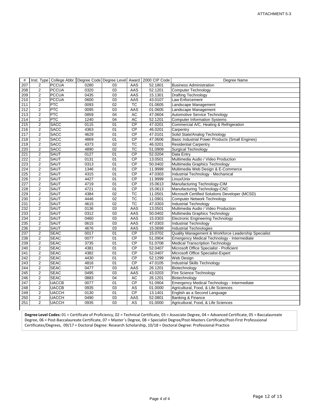| #                |                |              |      |                 |                        | Inst. Type   College Abbr.   Degree Code   Degree Level   Award   2000 CIP Code | Degree Name                                          |  |
|------------------|----------------|--------------|------|-----------------|------------------------|---------------------------------------------------------------------------------|------------------------------------------------------|--|
| 207              | 2              | <b>PCCUA</b> | 0280 | 03              | AAS                    | 52.1801                                                                         | <b>Business Administration</b>                       |  |
| 208              | $\overline{2}$ | <b>PCCUA</b> | 0320 | 03              | AAS                    | 52.1201                                                                         | <b>Computer Technology</b>                           |  |
| 209              | 2              | <b>PCCUA</b> | 0435 | 03              | AAS                    | 15.1301                                                                         | <b>Drafting Technology</b>                           |  |
| 210              | $\overline{2}$ | <b>PCCUA</b> | 0600 | $\overline{03}$ | AAS                    | 43.0107                                                                         | Law Enforcement                                      |  |
| 211              | $\overline{2}$ | PTC          | 0093 | $\overline{02}$ | TC                     | 01.0605                                                                         | Landscape Management                                 |  |
| 212              | 2              | <b>PTC</b>   | 0095 | 03              | AAS                    | 01.0605                                                                         | Landscape Management                                 |  |
| 213              | 2              | <b>PTC</b>   | 0859 | 04              | AC                     | 47.0604                                                                         | Automotive Service Technology                        |  |
| 214              | $\overline{2}$ | PTC          | 1240 | 04              | <b>AC</b>              | 52.1201                                                                         | <b>Computer Information Systems</b>                  |  |
| $\overline{215}$ | $\overline{2}$ | <b>SACC</b>  | 0115 | 01              | CP                     | 47.0201                                                                         | Commercial A/C, Heating & Refrigeration              |  |
| 216              | $\overline{2}$ | <b>SACC</b>  | 4363 | 01              | CP                     | 46.0201                                                                         | Carpentry                                            |  |
| 217              | $\overline{c}$ | <b>SACC</b>  | 4629 | 01              | CP                     | 47.0101                                                                         | Solid State/Analog Technology                        |  |
| 218              | 2              | <b>SACC</b>  | 4869 | 01              | CP                     | 47.0606                                                                         | Basic Industrial Power Products (Small Engines)      |  |
| 219              | $\overline{2}$ | <b>SACC</b>  | 4373 | 02              | TC                     | 46.0201                                                                         | <b>Residential Carpentry</b>                         |  |
| 220              | $\overline{2}$ | <b>SACC</b>  | 4890 | 02              | TC                     | 51.0909                                                                         | <b>Surgical Technology</b>                           |  |
| $\overline{221}$ | $\overline{2}$ | <b>SAUT</b>  | 0127 | 01              | CP                     | 52.0204                                                                         | Data Entry                                           |  |
| 222              | 2              | <b>SAUT</b>  | 0131 | 01              | CP                     | 13.0501                                                                         | Multimedia Audio / Video Production                  |  |
| 223              | $\overline{2}$ | SAUT         | 0313 | 01              | CP                     | 50.0402                                                                         | Multimedia Graphics Technology                       |  |
| 224              | $\overline{2}$ | SAUT         | 1346 | 01              | <b>CP</b>              | 11.9999                                                                         | Multimedia Web Design & E-Commerce                   |  |
| 225              | $\overline{2}$ | <b>SAUT</b>  | 4315 | 01              | CP                     | 47.0303                                                                         | Industrial Technology - Mechanical                   |  |
| 226              | $\overline{2}$ | SAUT         | 4427 | 01              | CP                     | 11.9999                                                                         | Linux/Unix                                           |  |
| 227              | 2              | SAUT         | 4719 | 01              | CP                     | 15.0613                                                                         | Manufacturing Technology-CIM                         |  |
| 228              | 2              | <b>SAUT</b>  | 4721 | 01              | CP                     | 15.0613                                                                         | Manufacturing Technology-CNC                         |  |
| 229              | $\overline{2}$ | <b>SAUT</b>  | 4384 | $\overline{02}$ | $\overline{\text{TC}}$ | 11.0501                                                                         | Microsoft Certified Solutions Developer (MCSD)       |  |
| 230              | $\overline{2}$ | SAUT         | 4446 | 02              | TC                     | 11.0901                                                                         | <b>Computer Network Technology</b>                   |  |
| 231              | $\overline{2}$ | SAUT         | 4615 | 02              | <b>TC</b>              | 47.0303                                                                         | <b>Industrial Technology</b>                         |  |
| 232              | $\overline{2}$ | <b>SAUT</b>  | 0136 | $\overline{03}$ | AAS                    | 13.0501                                                                         | Multimedia Audio / Video Production                  |  |
| 233              | $\overline{2}$ | <b>SAUT</b>  | 0312 | 03              | AAS                    | 50.0402                                                                         | Multimedia Graphics Technology                       |  |
| 234              | 2              | SAUT         | 0460 | 03              | AAS                    | 15.0303                                                                         | <b>Electronic Engineering Technology</b>             |  |
| 235              | $\overline{2}$ | <b>SAUT</b>  | 0615 | $\overline{03}$ | AAS                    | 47.0303                                                                         | <b>Industrial Technology</b>                         |  |
| 236              | $\overline{2}$ | <b>SAUT</b>  | 4676 | $\overline{03}$ | AAS                    | 15.0699                                                                         | Industrial Technologies                              |  |
| 237              | 2              | <b>SEAC</b>  | 0017 | 01              | <b>CP</b>              | 15.0702                                                                         | Quality Management & Workforce Leadership Specialist |  |
| 238              | $\overline{2}$ | <b>SEAC</b>  | 0077 | 01              | CP                     | 51.0904                                                                         | Emergency Medical Technology - Intermediate          |  |
| 239              | $\overline{2}$ | <b>SEAC</b>  | 3735 | 01              | $\overline{CP}$        | 51.0708                                                                         | <b>Medical Transcription Technology</b>              |  |
| 240              | 2              | <b>SEAC</b>  | 4381 | 01              | $\overline{CP}$        | 52.0407                                                                         | Microsoft Office Specialist - Proficient             |  |
| 241              | $\overline{2}$ | <b>SEAC</b>  | 4382 | 01              | $\overline{CP}$        | 52.0407                                                                         | Microsoft Office Specialist-Expert                   |  |
| 242              | $\overline{c}$ | <b>SEAC</b>  | 4430 | 01              | <b>CP</b>              | 52.1299                                                                         | Web Design                                           |  |
| $\overline{243}$ | 2              | <b>SEAC</b>  | 4816 | 01              | CP                     | 47.0105                                                                         | Industrial Skills Technology                         |  |
| 244              | $\overline{2}$ | <b>SEAC</b>  | 0477 | 03              | AAS                    | 26.1201                                                                         | Biotechnology                                        |  |
| $\overline{245}$ | $\overline{2}$ | <b>SEAC</b>  | 0495 | 03              | AAS                    | 43.0203                                                                         | Fire Science Technology                              |  |
| 246              | 2              | <b>SEAC</b>  | 0883 | 04              | <b>AC</b>              | 26.1201                                                                         | Biotechnology                                        |  |
| 247              | $\overline{2}$ | <b>UACCB</b> | 0077 | 01              | CP                     | 51.0904                                                                         | Emergency Medical Technology - Intermediate          |  |
| 248              | $\overline{2}$ | <b>UACCB</b> | 0935 | 03              | AS                     | 01.0000                                                                         | Agricultural, Food, & Life Sciences                  |  |
| 249              | $\overline{c}$ | <b>UACCH</b> | 0130 | 01              | CP                     | 13.1401                                                                         | English as a Second Language                         |  |
| 250              | $\overline{2}$ | <b>UACCH</b> | 0490 | $\overline{03}$ | AAS                    | 52.0801                                                                         | Banking & Finance                                    |  |
| 251              | $\overline{2}$ | <b>UACCH</b> | 0935 | 03              | AS                     | 01.0000                                                                         | Agricultural, Food, & Life Sciences                  |  |
|                  |                |              |      |                 |                        |                                                                                 |                                                      |  |

**Degree Level Codes:** 01 = Certificate of Proficiency, 02 = Technical Certificate, 03 = Associate Degree, 04 = Advanced Certificate, 05 = Baccalaureate Degree, 06 = Post‐Baccalaureate Certificate, 07 = Master`s Degree, 08 = Specialist Degree/Post‐Masters Certificate/Post‐First Professsional Certificates/Degrees, 09/17 = Doctoral Degree: Research Scholarship, 10/18 = Doctoral Degree: Professional Practice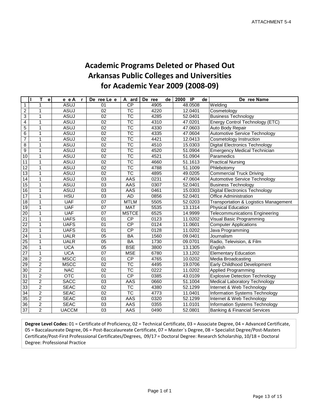## **Academic Programs Deleted or Phased Out Arkansas Public Colleges and Universities for Academic Year 2009 (2008‐09)**

|                         | Т<br>П<br>е    | e e A<br>$\mathbf{r}$ | De ree Le e     | A ard                    | De ree<br>de | $\overline{P}$<br>2000<br>de | De ree Name                             |
|-------------------------|----------------|-----------------------|-----------------|--------------------------|--------------|------------------------------|-----------------------------------------|
| $\mathbf{1}$            | 1              | <b>ASUJ</b>           | 01              | <b>CP</b>                | 4905         | 48.0508                      | Welding                                 |
| $\overline{2}$          | 1              | <b>ASUJ</b>           | 02              | $\overline{\text{TC}}$   | 4220         | 12.0401                      | Cosmetology                             |
| $\overline{3}$          | 1              | <b>ASUJ</b>           | 02              | $\overline{\text{TC}}$   | 4285         | 52.0401                      | <b>Business Technology</b>              |
| $\overline{\mathbf{4}}$ | $\mathbf{1}$   | <b>ASUJ</b>           | 02              | $\overline{\text{TC}}$   | 4310         | 47.0201                      | Energy Control Technology (ETC)         |
| $\overline{5}$          | $\mathbf{1}$   | <b>ASUJ</b>           | $\overline{02}$ | $\overline{\text{TC}}$   | 4330         | 47.0603                      | Auto Body Repair                        |
| 6                       | 1              | <b>ASUJ</b>           | 02              | $\overline{\text{TC}}$   | 4335         | 47.0604                      | Automotive Service Technology           |
| $\overline{7}$          | $\mathbf{1}$   | <b>ASUJ</b>           | 02              | $\overline{\text{TC}}$   | 4421         | 12.0413                      | <b>Cosmetology Instruction</b>          |
| 8                       | 1              | <b>ASUJ</b>           | 02              | $\overline{\texttt{TC}}$ | 4510         | 15.0303                      | <b>Digital Electronics Technology</b>   |
| $\boldsymbol{9}$        | $\mathbf{1}$   | <b>ASUJ</b>           | 02              | $\overline{\text{TC}}$   | 4520         | 51.0904                      | <b>Emergency Medical Technician</b>     |
| 10                      | $\mathbf{1}$   | <b>ASUJ</b>           | 02              | $\overline{\text{TC}}$   | 4521         | 51.0904                      | Paramedics                              |
| 11                      | $\mathbf{1}$   | <b>ASUJ</b>           | 02              | $\overline{\text{TC}}$   | 4660         | 51.1613                      | <b>Practical Nursing</b>                |
| 12                      | 1              | <b>ASUJ</b>           | 02              | $\overline{\text{TC}}$   | 4788         | 51.1009                      | Phlebotomy                              |
| 13                      | 1              | <b>ASUJ</b>           | 02              | $\overline{\text{TC}}$   | 4895         | 49.0205                      | <b>Commercial Truck Driving</b>         |
| 14                      | $\mathbf{1}$   | <b>ASUJ</b>           | 03              | AAS                      | 0231         | 47.0604                      | Automotive Service Technology           |
| 15                      | $\mathbf{1}$   | <b>ASUJ</b>           | $\overline{03}$ | AAS                      | 0307         | 52.0401                      | <b>Business Technology</b>              |
| 16                      | $\mathbf{1}$   | <b>ASUJ</b>           | 03              | AAS                      | 0461         | 15.0303                      | <b>Digital Electronics Technology</b>   |
| 17                      | $\mathbf{1}$   | <b>HSU</b>            | 03              | <b>AD</b>                | 0856         | 52.0401                      | <b>Office Administration</b>            |
| 18                      | $\mathbf{1}$   | <b>UAF</b>            | 07              | <b>MTLM</b>              | 5505         | 52.0203                      | Transportation & Logistics Management   |
| 19                      | 1              | <b>UAF</b>            | 07              | <b>MAT</b>               | 5535         | 13.1314                      | <b>Physical Education</b>               |
| $\overline{20}$         | 1              | <b>UAF</b>            | 07              | <b>MSTCE</b>             | 6525         | 14.9999                      | <b>Telecommunications Engineering</b>   |
| $\overline{21}$         | 1              | <b>UAFS</b>           | 01              | $\overline{CP}$          | 0123         | 11.0202                      | Visual Basic Programming                |
| $\overline{22}$         | 1              | <b>UAFS</b>           | 01              | <b>CP</b>                | 0124         | 11.0601                      | <b>Computer Applications</b>            |
| 23                      | 1              | <b>UAFS</b>           | $\overline{01}$ | CP                       | 0128         | 11.0202                      | Java Programming                        |
| 24                      | 1              | <b>UALR</b>           | $\overline{05}$ | BA                       | 1560         | 09.0401                      | Journalism                              |
| 25                      | 1              | <b>UALR</b>           | $\overline{05}$ | BA                       | 1730         | 09.0701                      | Radio, Television, & Film               |
| 26                      | 1              | <b>UCA</b>            | 05              | <b>BSE</b>               | 3800         | 13.1305                      | English                                 |
| $\overline{27}$         | 1              | <b>UCA</b>            | 07              | <b>MSE</b>               | 6780         | 13.1202                      | <b>Elementary Education</b>             |
| 28                      | $\overline{2}$ | <b>MSCC</b>           | 01              | $\overline{CP}$          | 4765         | 10.0202                      | Media Broadcasting                      |
| $\overline{29}$         | $\overline{2}$ | <b>MSCC</b>           | $\overline{02}$ | $\overline{\text{TC}}$   | 4495         | 19.0706                      | Early Childhood Development             |
| 30                      | $\overline{2}$ | <b>NAC</b>            | 02              | $\overline{\text{TC}}$   | 0222         | 11.0202                      | <b>Applied Programming</b>              |
| $\overline{31}$         | $\overline{2}$ | $\overline{OTC}$      | 01              | CP                       | 0385         | 43.0109                      | <b>Explosive Detection Technology</b>   |
| $\overline{32}$         | $\overline{2}$ | <b>SACC</b>           | 03              | <b>AAS</b>               | 0660         | 51.1004                      | Medical Laboratory Technology           |
| 33                      | $\overline{2}$ | <b>SEAC</b>           | 02              | $\overline{\text{TC}}$   | 4380         | 52.1299                      | Internet & Web Technology               |
| $\overline{34}$         | $\overline{c}$ | <b>SEAC</b>           | 02              | $\overline{\text{TC}}$   | 4773         | 11.0401                      | Information Systems Technology          |
| 35                      | $\overline{2}$ | <b>SEAC</b>           | 03              | <b>AAS</b>               | 0320         | 52.1299                      | Internet & Web Technology               |
| 36                      | $\overline{c}$ | <b>SEAC</b>           | 03              | AAS                      | 0355         | 11.0101                      | Information Systems Technology          |
| $\overline{37}$         | $\overline{2}$ | <b>UACCM</b>          | 03              | AAS                      | 0490         | 52.0801                      | <b>Banking &amp; Financial Services</b> |

**Degree Level Codes:** 01 = Certificate of Proficiency, 02 = Technical Certificate, 03 = Associate Degree, 04 = Advanced Certificate, 05 = Baccalaureate Degree, 06 = Post‐Baccalaureate Certificate, 07 = Master`s Degree, 08 = Specialist Degree/Post‐Masters Certificate/Post‐First Professsional Certificates/Degrees, 09/17 = Doctoral Degree: Research Scholarship, 10/18 = Doctoral Degree: Professional Practice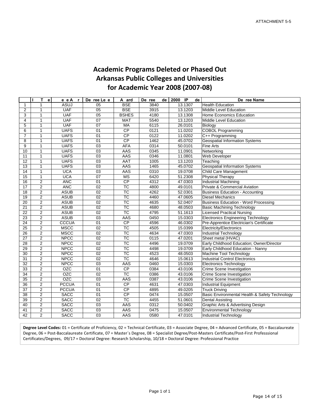### **Academic Programs Deleted or Phased Out Arkansas Public Colleges and Universities for Academic Year 2008 (2007‐08)**

|                 | т<br>$\mathbf{e}$ | e e A<br>$\mathbf{r}$ | De ree Le e     | A ard                  | De ree<br>de | $\overline{2000}$<br>$\overline{P}$<br>de | De ree Name                                    |
|-----------------|-------------------|-----------------------|-----------------|------------------------|--------------|-------------------------------------------|------------------------------------------------|
| 1               | 1                 | <b>ASUJ</b>           | 05              | <b>BSE</b>             | 3840         | 13.1307                                   | <b>Health Education</b>                        |
| 2               | 1                 | <b>UAF</b>            | 05              | <b>BSE</b>             | 3915         | 13.1203                                   | <b>Middle Level Education</b>                  |
| 3               | 1                 | <b>UAF</b>            | $\overline{05}$ | <b>BSHES</b>           | 4180         | 13.1308                                   | Home Economics Education                       |
| 4               | $\mathbf{1}$      | <b>UAF</b>            | 07              | <b>MAT</b>             | 5540         | 13.1203                                   | <b>Middle Level Education</b>                  |
| 5               | $\mathbf{1}$      | <b>UAF</b>            | 07              | MA                     | 6115         | 26.0101                                   | Biology                                        |
| 6               | 1                 | <b>UAFS</b>           | 01              | $\overline{CP}$        | 0121         | 11.0202                                   | <b>COBOL Programming</b>                       |
| $\overline{7}$  | 1                 | <b>UAFS</b>           | 01              | $\overline{CP}$        | 0122         | 11.0202                                   | C++ Programming                                |
| 8               | $\mathbf{1}$      | <b>UAFS</b>           | 01              | <b>CP</b>              | 1462         | 45.0702                                   | <b>Geospatial Information Systems</b>          |
| 9               | $\mathbf{1}$      | <b>UAFS</b>           | 03              | <b>AFA</b>             | 0314         | 50.0101                                   | <b>Fine Arts</b>                               |
| 10              | 1                 | <b>UAFS</b>           | 03              | AAS                    | 0345         | 11.0901                                   | Networking                                     |
| 11              | $\mathbf{1}$      | <b>UAFS</b>           | 03              | AAS                    | 0346         | 11.0801                                   | <b>Web Developer</b>                           |
| 12              | 1                 | <b>UAFS</b>           | 03              | AAT                    | 1005         | 13.1203                                   | Teaching                                       |
| 13              | $\mathbf{1}$      | <b>UAFS</b>           | 03              | AAS                    | 1465         | 45.0702                                   | <b>Geospatial Information Systems</b>          |
| 14              | 1                 | <b>UCA</b>            | 03              | AAS                    | 0310         | 19.0708                                   | Child Care Management                          |
| 15              | 1                 | <b>UCA</b>            | 07              | <b>MS</b>              | 6420         | 51.2308                                   | <b>Physical Therapy</b>                        |
| 16              | $\overline{2}$    | <b>ANC</b>            | $\overline{01}$ | CP                     | 4312         | 47.0303                                   | <b>Industrial Machining</b>                    |
| 17              | $\overline{2}$    | <b>ANC</b>            | 02              | <b>TC</b>              | 4800         | 49.0101                                   | Private & Commercial Aviation                  |
| 18              | $\overline{2}$    | <b>ASUB</b>           | 02              | $\overline{\text{TC}}$ | 4262         | 52.0301                                   | <b>Business Education - Accounting</b>         |
| 19              | $\overline{2}$    | <b>ASUB</b>           | $\overline{02}$ | $\overline{\text{TC}}$ | 4460         | 47.0605                                   | <b>Diesel Mechanics</b>                        |
| $\overline{20}$ | $\overline{2}$    | <b>ASUB</b>           | $\overline{02}$ | $\overline{\text{TC}}$ | 4635         | 52.0407                                   | <b>Business Education - Word Processing</b>    |
| 21              | 2                 | <b>ASUB</b>           | 02              | $\overline{\text{TC}}$ | 4680         | 48.0503                                   | <b>Basic Machining Technology</b>              |
| $\overline{22}$ | $\overline{2}$    | <b>ASUB</b>           | $\overline{02}$ | $\overline{\text{TC}}$ | 4795         | 51.1613                                   | <b>Licensed Practical Nursing</b>              |
| $\overline{23}$ | $\overline{2}$    | <b>ASUB</b>           | $\overline{03}$ | AAS                    | 0450         | 15.0303                                   | <b>Electronics Engineering Technology</b>      |
| $\overline{24}$ | $\overline{2}$    | CCCUA                 | $\overline{01}$ | CP                     | 4596         | 46.0302                                   | Pre-Apprentice Electrician's Certificate       |
| 25              | $\overline{2}$    | <b>MSCC</b>           | 02              | <b>TC</b>              | 4505         | 15.0399                                   | <b>Electricity/Electronics</b>                 |
| 26              | $\overline{2}$    | <b>MSCC</b>           | 02              | $\overline{\text{TC}}$ | 4634         | 47.0303                                   | Industrial Technology                          |
| $\overline{27}$ | $\overline{2}$    | <b>NPCC</b>           | $\overline{02}$ | $\overline{\text{TC}}$ | 0115         | 47.0201                                   | Sheet metal (HVAC)                             |
| $\overline{28}$ | $\overline{2}$    | <b>NPCC</b>           | 02              | $\overline{\text{TC}}$ | 4496         | 19.0709                                   | Early Childhood Education; Owner/Director      |
| $\overline{29}$ | $\overline{2}$    | <b>NPCC</b>           | $\overline{02}$ | $\overline{\text{TC}}$ | 4498         | 19.0709                                   | Early Childhood Education - Nanny              |
| 30              | $\overline{2}$    | <b>NPCC</b>           | 02              | <b>TC</b>              | 4523         | 48.0503                                   | Machine Tool Technology                        |
| 31              | $\overline{2}$    | <b>NPCC</b>           | $\overline{02}$ | $\overline{\text{TC}}$ | 4646         | 15.0613                                   | <b>Industrial Control Electronics</b>          |
| 32              | 2                 | <b>NPCC</b>           | 03              | AAS                    | 0460         | 15.0303                                   | <b>Electronics Technology</b>                  |
| $\overline{33}$ | $\overline{2}$    | <b>OZC</b>            | $\overline{01}$ | CP                     | 0384         | 43.0106                                   | Crime Scene Investigation                      |
| 34              | 2                 | <b>OZC</b>            | 02              | <b>TC</b>              | 0386         | 43.0106                                   | Crime Scene Investigation                      |
| $\overline{35}$ | $\overline{2}$    | <b>OZC</b>            | $\overline{03}$ | AAS                    | 0387         | 43.0106                                   | <b>Crime Scene Investigation</b>               |
| 36              | 2                 | <b>PCCUA</b>          | 01              | CP                     | 4631         | 47.0303                                   | <b>Industrial Equipment</b>                    |
| $\overline{37}$ | $\overline{2}$    | <b>PCCUA</b>          | $\overline{01}$ | CP                     | 4895         | 49.0205                                   | <b>Truck Driving</b>                           |
| 38              | $\overline{2}$    | <b>SACC</b>           | 01              | $\overline{CP}$        | 0474         | 15.0507                                   | Basic Environmental Health & Safety Technology |
| $\overline{39}$ | $\overline{2}$    | <b>SACC</b>           | $\overline{02}$ | $\overline{\text{TC}}$ | 4455         | 51.0601                                   | <b>Dental Assisting</b>                        |
| 40              | $\overline{2}$    | <b>SACC</b>           | 03              | AAS                    | 0312         | 50.0402                                   | Graphic Arts & Advertising Design              |
| 41              | $\overline{2}$    | <b>SACC</b>           | $\overline{03}$ | AAS                    | 0475         | 15.0507                                   | <b>Environmental Technology</b>                |
| $\overline{42}$ | $\overline{2}$    | <b>SACC</b>           | $\overline{03}$ | AAS                    | 0580         | 47.0101                                   | <b>Industrial Technology</b>                   |

**Degree Level Codes:** 01 = Certificate of Proficiency, 02 = Technical Certificate, 03 = Associate Degree, 04 = Advanced Certificate, 05 = Baccalaureate Degree, 06 = Post-Baccalaureate Certificate, 07 = Master`s Degree, 08 = Specialist Degree/Post-Masters Certificate/Post-First Professsional Certificates/Degrees, 09/17 = Doctoral Degree: Research Scholarship, 10/18 = Doctoral Degree: Professional Practice